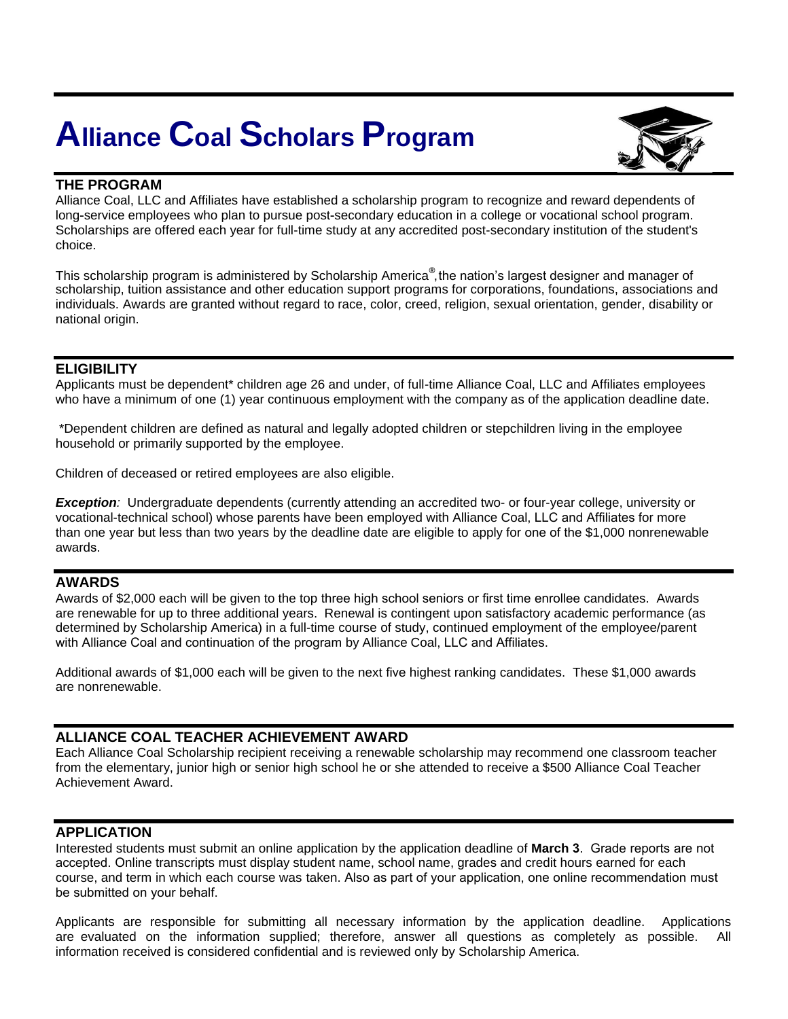# **Alliance Coal Scholars Program**



# **THE PROGRAM**

Alliance Coal, LLC and Affiliates have established a scholarship program to recognize and reward dependents of long-service employees who plan to pursue post-secondary education in a college or vocational school program. Scholarships are offered each year for full-time study at any accredited post-secondary institution of the student's choice.

This scholarship program is administered by Scholarship America**®** , the nation's largest designer and manager of scholarship, tuition assistance and other education support programs for corporations, foundations, associations and individuals. Awards are granted without regard to race, color, creed, religion, sexual orientation, gender, disability or national origin.

# **ELIGIBILITY**

Applicants must be dependent\* children age 26 and under, of full-time Alliance Coal, LLC and Affiliates employees who have a minimum of one (1) year continuous employment with the company as of the application deadline date.

\*Dependent children are defined as natural and legally adopted children or stepchildren living in the employee household or primarily supported by the employee.

Children of deceased or retired employees are also eligible.

*Exception:* Undergraduate dependents (currently attending an accredited two- or four-year college, university or vocational-technical school) whose parents have been employed with Alliance Coal, LLC and Affiliates for more than one year but less than two years by the deadline date are eligible to apply for one of the \$1,000 nonrenewable awards.

## **AWARDS**

Awards of \$2,000 each will be given to the top three high school seniors or first time enrollee candidates. Awards are renewable for up to three additional years. Renewal is contingent upon satisfactory academic performance (as determined by Scholarship America) in a full-time course of study, continued employment of the employee/parent with Alliance Coal and continuation of the program by Alliance Coal, LLC and Affiliates.

Additional awards of \$1,000 each will be given to the next five highest ranking candidates. These \$1,000 awards are nonrenewable.

## **ALLIANCE COAL TEACHER ACHIEVEMENT AWARD**

Each Alliance Coal Scholarship recipient receiving a renewable scholarship may recommend one classroom teacher from the elementary, junior high or senior high school he or she attended to receive a \$500 Alliance Coal Teacher Achievement Award.

## **APPLICATION**

Interested students must submit an online application by the application deadline of **March 3**. Grade reports are not accepted. Online transcripts must display student name, school name, grades and credit hours earned for each course, and term in which each course was taken. Also as part of your application, one online recommendation must be submitted on your behalf.

Applicants are responsible for submitting all necessary information by the application deadline. Applications are evaluated on the information supplied; therefore, answer all questions as completely as possible. All information received is considered confidential and is reviewed only by Scholarship America.